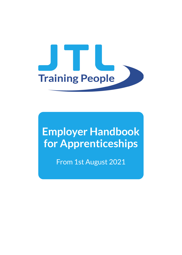

# **Employer Handbook for Apprenticeships**

From 1st August 2021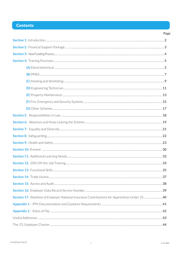# **Contents**

| Page |
|------|
|      |
|      |
|      |
|      |
|      |
|      |
|      |
|      |
|      |
|      |
|      |
|      |
|      |
|      |
|      |
|      |
|      |
|      |
|      |
|      |
|      |
|      |
|      |
|      |
|      |
|      |
|      |
|      |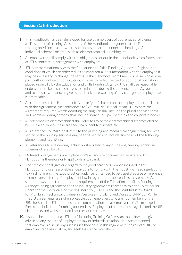### Section 1: Introduction

- **1.** This Handbook has been developed for use by employers of apprentices following a JTL scheme of training. All sections of the Handbook are generic to all JTL training provision, except where specifically separated under the headings of individual schemes offered, such as electrotechnical, plumbing etc.
- **2.** All employers shall comply with the obligations set out in the Handbook which forms part of JTL's contractual arrangement with employers.
- **3.** JTL contracts nationally with the Education and Skills Funding Agency in England, the conditions of which are reflected in the contractual documentation with the employer. It may be necessary to change the terms of the Handbook from time to time, in whole or in part, without notice or consultation, in order to reflect revised or additional obligations placed upon JTL by the Education and Skills Funding Agency. JTL shall use reasonable endeavours to keep such changes to a minimum during the currency of the Agreement and to consult with and/or give as much advance warning of any changes to employers as is practicable.
- **4.** All references in the Handbook to 'you' or 'your' shall mean the employer in accordance with the Agreement. Any references to 'we', 'our' or 'us' shall mean JTL. Where the Agreement requires, words denoting the singular shall include the plural and vice versa; and words denoting persons shall include individuals, partnerships and corporate bodies.
- **5.** All references to electrotechnical shall refer to any of the electrotechnical schemes offered by JTL except where these are specifically identified separately.
- **6.** All references to PMES shall refer to the plumbing and mechanical engineering services sector of the building services engineering sector and include any or all of the following: plumbing and gas fitting.
- **7.** All references to engineering technician shall refer to any of the engineering technician schemes offered by JTL.
- **8.** Different arrangements are in place in Wales and are documented separately. This Handbook is therefore only applicable in England.
- **9.** The employer shall give due regard to the good practice guidance included in this Handbook and use reasonable endeavours to comply with the industry-agreed regulations to which it refers. The good practice guidance is intended to be a useful source of reference to employers in terms of employment law in regard to the apprentices they employ. As such, it draws upon the contractual requirements of the Education and Skills Funding Agency funding agreement and the industry agreements reached within the Joint Industry Board for the Electrical Contracting Industry (JIB-ECI) and the Joint Industry Board for Plumbing Mechanical Engineering Services in England and Wales (JIB-PMES). While the JIB agreements are not enforceable upon employers who are not members of the JIB, the Board of JTL endorses the recommendations to all employers of JTL-managed Electro-technical and Plumbing apprentices. Employers of apprentices may also find the JIB Handbooks and websites useful sources of reference.
- **10.** It should be noted that all JTL staff, including Training Officers, are not allowed to give advice on any aspects of employment law or industrial relations. It is recommended that employers discuss any such issues they have in this regard with the relevant JIB, or employer trade association, and seek assistance from them.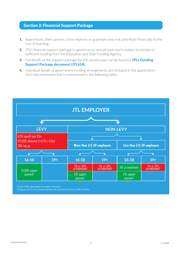# Section 2: Financial Support Package

- **1.** Apprentices, their parents, close relations or guardians may not contribute financially to the cost of learning.
- **2.** JTL's financial support package is agreed on an annual basis and is subject to receipt of sufficient funding from the Education and Skills Funding Agency.
- **3.** Full details of the support package for the current year can be found in JTL's Funding Support Package document (JTL614).
- **4.** Individual details of government funding arrangements are included in the apprentice's start documentation but is summarised in the following table:



<sup>1</sup> A further £1,000 support payment also payable to the provider

 $^{\rm 2}$  £0 investment also for 19+ care leavers and those with a Local Authority Education, Health & Care Plan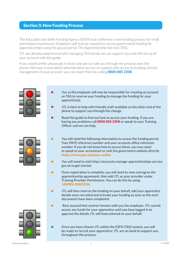### Section 3: New Funding Process

The Education and Skills Funding Agency (ESFA) has confirmed a new funding process for small and medium businesses. Employers will now be required to access government funding for apprenticeships using the gov.uk portal, The Apprenticeship Service (TAS).

JTL are already experienced with managing TAS portal; we can support you with the set up of your account with this guide.

If you would prefer, please get in touch and we can talk you through the process over the phone. We have a centralised administration service to support with access to funding and the management of your account; you can reach them by calling **0800 085 2308.** 



- You as the employer will now be responsible for creating an account on TAS to reserve your funding to manage the funding for your apprentice(s).
- **•** JTL is here to help with friendly staff available on the other end of the phone to support you through the change.
- **•** Read this guide to find out how to access your funding. If you are having any problems call **0800 085 2308** or speak to your Training Officer and we can help.



- You will need the following information to access the funding portal: Your PAYE reference number and your accounts office reference number. If you do not know how to access these, you may need to speak to your accountant or visit the government website directly https://www.gov.uk/paye-online
- **•** You will need to visit https://accounts.manage-apprenticeships.service. gov.uk to get started.
- **•** Once registration is complete, you will need to view and agree the apprenticeship agreement, then add JTL as your provider under Training Provider Permissions. You can do this by using UKPRN 10003526.
- **•** JTL will then reserve the funding on your behalf, add your apprentice details once recruited and activate your funding as soon as the start documents have been completed.
- **•** Rest assured that control remains with you the employer. JTL cannot access any funds for your apprentice until you have logged in to approve the details JTL will have entered on your behalf.
	- **•** Once you have chosen JTL within the ESFA (TAS) system, you will be ready to recruit your apprentice! JTL are on hand to support you throughout this process.

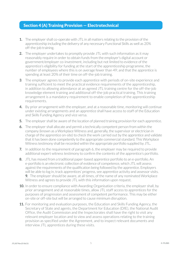### Section 4 (A) Training Provision — Electrotechnical

- **1.** The employer shall co-operate with JTL in all matters relating to the provision of the apprenticeship including the delivery of any necessary Functional Skills as well as 20% off-the-job training.
- **2.** The employer undertakes to promptly provide JTL with such information as it may reasonably require in order to obtain funds from the employer's digital account or government/employer co-investment, including but not limited to evidence of the apprentice's eligibility for funding at the start of the apprenticeship programme, the number of employees where this is on average fewer than 49; and that the apprentice is spending at least 20% of their time on off-the-job training.
- **3**. The employer agrees to provide each apprentice with periods of on-site experience and training sufficient to meet the practical evidence requirements of the apprenticeship, in addition to allowing attendance at an agreed JTL training centre for the off-the-job knowledge element training and additional off-the-job practical training. This training arrangement is a mandatory requirement to enable completion of the apprenticeship requirements.
- **4.** By prior arrangement with the employer, and at a reasonable time, monitoring will continue under existing arrangements and an apprentice shall have access to staff of the Education and Skills Funding Agency and vice versa.
- **5.** The employer shall be aware of the location of planned training provision for each apprentice.
- **6.** The employer shall allocate and permit a technically competent person from within the company (known as a Workplace Witness and, generally, the supervisor or electrician in charge of the apprentice on-site) to check the work carried out by the apprentice and validate that it has been done competently to the appropriate commercial standard. This Workplace Witness testimony shall be recorded within the appropriate portfolio supplied by JTL.
- **7.** In addition to the requirement of paragraph 6, the employer may be required to provide additional expert witness testimony to confirm the contents of the apprentice's portfolio.
- **8.** JTL has moved from a traditional paper-based apprentice portfolio to an e-portfolio. An e-portfolio is an electronic collection of evidence of competence, which JTL will assess against the requirements of the qualification being followed by the apprentice. Employers will be able to log in, track apprentices' progress, see apprentice activity and assessor visits. **9.** The employer should be aware, at all times, of the name of any nominated Workplace Witness and agrees to provide JTL with this information upon request.
- **10.** In order to ensure compliance with Awarding Organisation criteria, the employer shall, by prior arrangement and at reasonable times, allow JTL staff access to apprentices for the purposes of progression and assessment of competent performance. This may be either on-site or off-site but will be arranged to cause minimum disruption.
- **11.** For monitoring and evaluation purposes, the Education and Skills Funding Agency, the Secretary of State and agents, the Department for Education (DfE), the National Audit Office, the Audit Commission and the Inspectorates shall have the right to visit any relevant employer location and to view and assess operations relating to the training provision as specified under the Agreement, and to inspect relevant documents and interview JTL apprentices during these visits.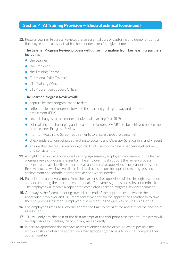### Section 4 (A) Training Provision — Electrotechnical (continued)

**12.** Regular Learner Progress Reviews are an essential part of capturing and demonstrating all the progress and activity that has been undertaken for a given time.

#### **The Learner Progress Review process will utilise information from key learning partners including:**

- **•** the Learner
- **•** the Employer
- **•** the Training Centre
- **•** Functional Skills Trainers
- **•** JTL Training Officer
- **•** JTL Apprentice Support Officer

#### **The Learner Progress Review will:**

- **•** capture learner progress made to date
- **•** reflect on learner progress towards the learning goals, gateway and end-point assessment (EPA)
- **•** record changes to the learner's Individual Learning Plan (ILP)
- **•** set realistic but challenging and measurable targets (SMART) to be achieved before the next Learner Progress Review
- **•** monitor Health and Safety requirements to ensure these are being met
- check understanding of issues relating to Equality and Diversity, Safeguarding and Prevent
- **•** ensure that the regular recording of 20% off-the-job training is happening effectively and consistently.
- **13.** As highlighted in the Apprentice Learning Agreement, employer involvement in the learner progress review process is essential. The employer must support the review process and ensure the availability of apprentices and their site supervisor. The Learner Progress Review process will involve all parties in a discussion on the apprentice's progress and achievement and identify appropriate actions where needed.
- **14.** Participation and involvement from the learner's site supervisor will be through discussion and documenting the apprentice's personal effectiveness grades and relevant feedback. The employer will receive a copy of the completed Learner Progress Review document.
- **15.** Gateway is the formal meeting towards the end of the apprenticeship where the apprentice, employer and JTL representative confirm the apprentice's readiness to take the end-point assessment. Employer involvement in the gateway process is essential.
- **16.** The employer agrees to allow the apprentice time to prepare for and attend the end-point assessment.
- 17. JTL will only pay the cost of the first attempt at the end-point assessment. Employers will be responsible for meeting the cost of any resits directly.
- **18.** Where an apprentice doesn't have access to either a laptop or Wi-Fi, where possible the employer should offer the apprentice a loan laptop and/or access to Wi-Fi to complete their apprenticeship.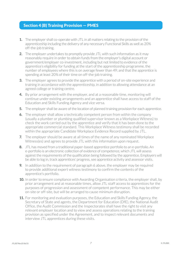### Section 4 (B) Training Provision — PMES

- **1.** The employer shall co-operate with JTL in all matters relating to the provision of the apprenticeship including the delivery of any necessary Functional Skills as well as 20% off-the-job training.
- **2.** The employer undertakes to promptly provide JTL with such information as it may reasonably require in order to obtain funds from the employer's digital account or government/employer co-investment, including but not limited to evidence of the apprentice's eligibility for funding at the start of the apprenticeship programme, the number of employees where this is on average fewer than 49; and that the apprentice is spending at least 20% of their time on off-the-job training.
- **3.** The employer agrees to provide the apprentice with a period of on-site experience and training in accordance with the apprenticeship, in addition to allowing attendance at an agreed college or training centre.
- **4.** By prior arrangement with the employer, and at a reasonable time, monitoring will continue under existing arrangements and an apprentice shall have access to staff of the Education and Skills Funding Agency and vice versa.
- **5.** The employer shall be aware of the location of planned training provision for each apprentice.
- **6.** The employer shall allow a technically competent person from within the company (usually a plumber or plumbing qualified supervisor known as a Workplace Witness) to check the work carried out by the apprentice and verify that it has been done to the appropriate commercial standard. This Workplace Witness testimony shall be recorded within the appropriate Candidate Workplace Evidence Record supplied by JTL.
- **7.** The employer should be aware at all times of the name of any nominated Workplace Witness(es) and agrees to provide JTL with this information upon request.
- **8.** JTL has moved from a traditional paper-based apprentice portfolio to an e-portfolio. An e-portfolio is an electronic collection of evidence of competence, which JTL will assess against the requirements of the qualification being followed by the apprentice. Employers will be able to log in, track apprentices' progress, see apprentice activity and assessor visits.
- **9.** In addition to the requirement of paragraph 6 above, the employer may be required to provide additional expert witness testimony to confirm the contents of the apprentice's portfolio.
- **10.** In order to ensure compliance with Awarding Organisation criteria, the employer shall, by prior arrangement and at reasonable times, allow JTL staff access to apprentices for the purposes of progression and assessment of competent performance. This may be either on-site or off-site, but will be arranged to cause minimum disruption.
- **11.** For monitoring and evaluation purposes, the Education and Skills Funding Agency, the Secretary of State and agents, the Department for Education (DfE), the National Audit Office, the Audit Commission and the Inspectorates shall have the right to visit any relevant employer location and to view and assess operations relating to the training provision as specified under the Agreement, and to inspect relevant documents and interview JTL apprentices during these visits.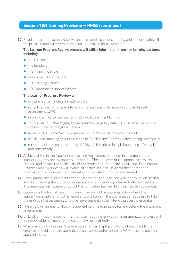### Section 4 (B) Training Provision — PMES (continued)

**12.** Regular Learner Progress Reviews are an essential part of capturing and demonstrating all the progress and activity that has been undertaken for a given time.

#### **The Learner Progress Review process will utilise information from key learning partners including:**

- **•** the Learner
- **•** the Employer
- **•** the Training Centre
- **•** Functional Skills Trainers
- **•** JTL Training Officer
- **•** JTL Apprentice Support Officer

#### **The Learner Progress Review will:**

- **•** capture learner progress made to date
- **•** reflect on learner progress towards the learning goals, gateway and end-point assessment (EPA)
- **•** record changes to the learner's Individual Learning Plan (ILP)
- **•** set realistic but challenging and measurable targets (SMART) to be achieved before the next Learner Progress Review
- **•** monitor Health and Safety requirements to ensure these are being met
- **•** check understanding of issues relating to Equality and Diversity, Safeguarding and Prevent
- **•** ensure that the regular recording of 20% off-the-job training is happening effectively and consistently.
- **13.** As highlighted in the Apprentice Learning Agreement, employer involvement in the learner progress review process is essential. The employer must support the review process and ensure the availability of apprentices and their site supervisor. The Learner Progress Review process will involve all parties in a discussion on the apprentice's progress and achievement and identify appropriate actions where needed.
- **14.** Participation and involvement from the learner's site supervisor will be through discussion and documenting the apprentice's personal effectiveness grades and relevant feedback. The employer will receive a copy of the completed Learner Progress Review document.
- **15.** Gateway is the formal meeting towards the end of the apprenticeship where the apprentice, employer and JTL representative confirm the apprentice's readiness to take the end-point assessment. Employer involvement in the gateway process is essential.
- **16.** The employer agrees to allow the apprentice time to prepare for and attend the end-point assessment.
- **17.** JTL will only pay the cost of the first attempt at the end-point assessment. Employers will be responsible for meeting the cost of any resits directly.
- **18.** Where an apprentice doesn't have access to either a laptop or Wi-Fi, where possible the employer should offer the apprentice a loan laptop and/or access to Wi-Fi to complete their apprenticeship.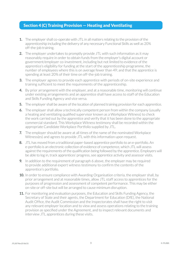### Section 4 (C) Training Provision — Heating and Ventilating

- **1.** The employer shall co-operate with JTL in all matters relating to the provision of the apprenticeship including the delivery of any necessary Functional Skills as well as 20% off-the-job training.
- **2.** The employer undertakes to promptly provide JTL with such information as it may reasonably require in order to obtain funds from the employer's digital account or government/employer co-investment, including but not limited to evidence of the apprentice's eligibility for funding at the start of the apprenticeship programme, the number of employees where this is on average fewer than 49; and that the apprentice is spending at least 20% of their time on off-the-job training.
- **3.** The employer agrees to provide each apprentice with periods of on-site experience and training sufficient to meet the requirements of the apprenticeship.
- **4.** By prior arrangement with the employer, and at a reasonable time, monitoring will continue under existing arrangements and an apprentice shall have access to staff of the Education and Skills Funding Agency and vice versa.
- **5.** The employer shall be aware of the location of planned training provision for each apprentice.
- **6.** The employer shall allow a technically competent person from within the company (usually a heating and ventilating qualified supervisor known as a Workplace Witness) to check the work carried out by the apprentice and verify that it has been done to the appropriate commercial standard. This Workplace Witness testimony shall be recorded within the appropriate Candidate Workplace Portfolio supplied by JTL.
- **7.** The employer should be aware at all times of the name of the nominated Workplace Witness(es) and agrees to provide JTL with this information upon request.
- **8.** JTL has moved from a traditional paper-based apprentice portfolio to an e-portfolio. An e-portfolio is an electronic collection of evidence of competence, which JTL will assess against the requirements of the qualification being followed by the apprentice. Employers will be able to log in, track apprentices' progress, see apprentice activity and assessor visits.
- **9.** In addition to the requirement of paragraph 6 above, the employer may be required to provide additional expert witness testimony to confirm the contents of the apprentice's portfolio.
- **10.** In order to ensure compliance with Awarding Organisation criteria, the employer shall, by prior arrangement and at reasonable times, allow JTL staff access to apprentices for the purposes of progression and assessment of competent performance. This may be either on-site or off-site but will be arranged to cause minimum disruption.
- **11.** For monitoring and evaluation purposes, the Education and Skills Funding Agency, the Secretary of State and their agents, the Department for Education (DfE), the National Audit Office, the Audit Commission and the Inspectorates shall have the right to visit any relevant employer location and to view and assess operations relating to the training provision as specified under the Agreement, and to inspect relevant documents and interview JTL apprentices during these visits.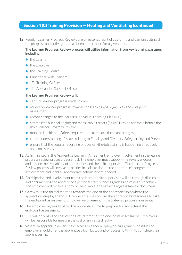### Section 4 (C) Training Provision — Heating and Ventilating (continued)

**12.** Regular Learner Progress Reviews are an essential part of capturing and demonstrating all the progress and activity that has been undertaken for a given time.

#### **The Learner Progress Review process will utilise information from key learning partners including:**

- **•** the Learner
- **•** the Employer
- **•** the Training Centre
- **•** Functional Skills Trainers
- **•** JTL Training Officer
- **•** JTL Apprentice Support Officer

#### **The Learner Progress Review will:**

- **•** capture learner progress made to date
- **•** reflect on learner progress towards the learning goals, gateway and end-point assessment
- **•** record changes to the learner's Individual Learning Plan (ILP)
- **•** set realistic but challenging and measurable targets (SMART) to be achieved before the next Learner Progress Review
- **•** monitor Health and Safety requirements to ensure these are being met
- **•** check understanding of issues relating to Equality and Diversity, Safeguarding and Prevent
- ensure that the regular recording of 20% off-the-job training is happening effectively and consistently.
- **13.** As highlighted in the Apprentice Learning Agreement, employer involvement in the learner progress review process is essential. The employer must support the review process and ensure the availability of apprentices and their site supervisor. The Learner Progress Review process will involve all parties in a discussion on the apprentice's progress and achievement and identify appropriate actions where needed.
- **14.** Participation and involvement from the learner's site supervisor will be through discussion and documenting the apprentice's personal effectiveness grades and relevant feedback. The employer will receive a copy of the completed Learner Progress Review document.
- **15.** Gateway is the formal meeting towards the end of the apprenticeship where the apprentice, employer and JTL representative confirm the apprentice's readiness to take the end-point assessment. Employer involvement in the gateway process is essential.
- **16.** The employer agrees to allow the apprentice time to prepare for and attend the end-point assessment.
- **17.** JTL will only pay the cost of the first attempt at the end-point assessment. Employers will be responsible for meeting the cost of any resits directly.
- **18.** Where an apprentice doesn't have access to either a laptop or Wi-Fi, where possible the employer should offer the apprentice a loan laptop and/or access to Wi-Fi to complete their apprenticeship.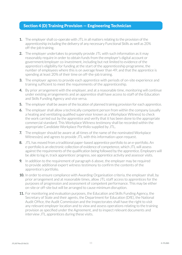### Section 4 (D) Training Provision — Engineering Technician

- **1.** The employer shall co-operate with JTL in all matters relating to the provision of the apprenticeship including the delivery of any necessary Functional Skills as well as 20% off-the-job training.
- **2.** The employer undertakes to promptly provide JTL with such information as it may reasonably require in order to obtain funds from the employer's digital account or government/employer co-investment, including but not limited to evidence of the apprentice's eligibility for funding at the start of the apprenticeship programme, the number of employees where this is on average fewer than 49; and that the apprentice is spending at least 20% of their time on off-the-job training.
- **3.** The employer agrees to provide each apprentice with periods of on-site experience and training sufficient to meet the requirements of the apprenticeship.
- **4.** By prior arrangement with the employer, and at a reasonable time, monitoring will continue under existing arrangements and an apprentice shall have access to staff of the Education and Skills Funding Agency and vice versa.
- **5.** The employer shall be aware of the location of planned training provision for each apprentice.
- **6.** The employer shall allow a technically competent person from within the company (usually a heating and ventilating qualified supervisor known as a Workplace Witness) to check the work carried out by the apprentice and verify that it has been done to the appropriate commercial standard. This Workplace Witness testimony shall be recorded within the appropriate Candidate Workplace Portfolio supplied by JTL.
- **7.** The employer should be aware at all times of the name of the nominated Workplace Witness(es) and agrees to provide JTL with this information upon request.
- **8.** JTL has moved from a traditional paper-based apprentice portfolio to an e-portfolio. An e-portfolio is an electronic collection of evidence of competence, which JTL will assess against the requirements of the qualification being followed by the apprentice. Employers will be able to log in, track apprentices' progress, see apprentice activity and assessor visits.
- **9.** In addition to the requirement of paragraph 6 above, the employer may be required to provide additional expert witness testimony to confirm the contents of the apprentice's portfolio.
- **10.** In order to ensure compliance with Awarding Organisation criteria, the employer shall, by prior arrangement and at reasonable times, allow JTL staff access to apprentices for the purposes of progression and assessment of competent performance. This may be either on-site or off-site but will be arranged to cause minimum disruption.
- **11.** For monitoring and evaluation purposes, the Education and Skills Funding Agency, the Secretary of State and their agents, the Department for Education (DfE), the National Audit Office, the Audit Commission and the Inspectorates shall have the right to visit any relevant employer location and to view and assess operations relating to the training provision as specified under the Agreement, and to inspect relevant documents and interview JTL apprentices during these visits.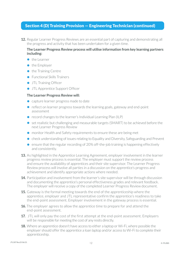### Section 4 (D) Training Provision — Engineering Technician (continued)

**12.** Regular Learner Progress Reviews are an essential part of capturing and demonstrating all the progress and activity that has been undertaken for a given time.

#### **The Learner Progress Review process will utilise information from key learning partners including:**

- **•** the Learner
- **•** the Employer
- **•** the Training Centre
- **•** Functional Skills Trainers
- **•** JTL Training Officer
- **•** JTL Apprentice Support Officer

#### **The Learner Progress Review will:**

- **•** capture learner progress made to date
- **•** reflect on learner progress towards the learning goals, gateway and end-point assessment
- **•** record changes to the learner's Individual Learning Plan (ILP)
- **•** set realistic but challenging and measurable targets (SMART) to be achieved before the next Learner Progress Review
- **•** monitor Health and Safety requirements to ensure these are being met
- **•** check understanding of issues relating to Equality and Diversity, Safeguarding and Prevent
- ensure that the regular recording of 20% off-the-job training is happening effectively and consistently.
- **13.** As highlighted in the Apprentice Learning Agreement, employer involvement in the learner progress review process is essential. The employer must support the review process and ensure the availability of apprentices and their site supervisor. The Learner Progress Review process will involve all parties in a discussion on the apprentice's progress and achievement and identify appropriate actions where needed.
- **14.** Participation and involvement from the learner's site supervisor will be through discussion and documenting the apprentice's personal effectiveness grades and relevant feedback. The employer will receive a copy of the completed Learner Progress Review document.
- **15.** Gateway is the formal meeting towards the end of the apprenticeship where the apprentice, employer and JTL representative confirm the apprentice's readiness to take the end-point assessment. Employer involvement in the gateway process is essential.
- **16.** The employer agrees to allow the apprentice time to prepare for and attend the end-point assessment.
- **17.** JTL will only pay the cost of the first attempt at the end-point assessment. Employers will be responsible for meeting the cost of any resits directly.
- **18.** Where an apprentice doesn't have access to either a laptop or Wi-Fi, where possible the employer should offer the apprentice a loan laptop and/or access to Wi-Fi to complete their apprenticeship.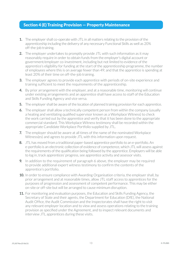### Section 4 (E) Training Provision — Property Maintenance

- **1.** The employer shall co-operate with JTL in all matters relating to the provision of the apprenticeship including the delivery of any necessary Functional Skills as well as 20% off-the-job training.
- **2.** The employer undertakes to promptly provide JTL with such information as it may reasonably require in order to obtain funds from the employer's digital account or government/employer co-investment, including but not limited to evidence of the apprentice's eligibility for funding at the start of the apprenticeship programme, the number of employees where this is on average fewer than 49; and that the apprentice is spending at least 20% of their time on off-the-job training.
- **3.** The employer agrees to provide each apprentice with periods of on-site experience and training sufficient to meet the requirements of the apprenticeship.
- **4.** By prior arrangement with the employer, and at a reasonable time, monitoring will continue under existing arrangements and an apprentice shall have access to staff of the Education and Skills Funding Agency and vice versa.
- **5.** The employer shall be aware of the location of planned training provision for each apprentice.
- **6.** The employer shall allow a technically competent person from within the company (usually a heating and ventilating qualified supervisor known as a Workplace Witness) to check the work carried out by the apprentice and verify that it has been done to the appropriate commercial standard. This Workplace Witness testimony shall be recorded within the appropriate Candidate Workplace Portfolio supplied by JTL.
- **7.** The employer should be aware at all times of the name of the nominated Workplace Witness(es) and agrees to provide JTL with this information upon request.
- **8.** JTL has moved from a traditional paper-based apprentice portfolio to an e-portfolio. An e-portfolio is an electronic collection of evidence of competence, which JTL will assess against the requirements of the qualification being followed by the apprentice. Employers will be able to log in, track apprentices' progress, see apprentice activity and assessor visits.
- **9.** In addition to the requirement of paragraph 6 above, the employer may be required to provide additional expert witness testimony to confirm the contents of the apprentice's portfolio.
- **10.** In order to ensure compliance with Awarding Organisation criteria, the employer shall, by prior arrangement and at reasonable times, allow JTL staff access to apprentices for the purposes of progression and assessment of competent performance. This may be either on-site or off-site but will be arranged to cause minimum disruption.
- **11.** For monitoring and evaluation purposes, the Education and Skills Funding Agency, the Secretary of State and their agents, the Department for Education (DfE), the National Audit Office, the Audit Commission and the Inspectorates shall have the right to visit any relevant employer location and to view and assess operations relating to the training provision as specified under the Agreement, and to inspect relevant documents and interview JTL apprentices during these visits.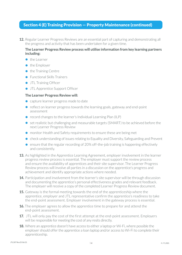### Section 4 (E) Training Provision — Property Maintenance (continued)

**12.** Regular Learner Progress Reviews are an essential part of capturing and demonstrating all the progress and activity that has been undertaken for a given time.

#### **The Learner Progress Review process will utilise information from key learning partners including:**

- **•** the Learner
- **•** the Employer
- **•** the Training Centre
- **•** Functional Skills Trainers
- **•** JTL Training Officer
- **•** JTL Apprentice Support Officer

#### **The Learner Progress Review will:**

- **•** capture learner progress made to date
- reflect on learner progress towards the learning goals, gateway and end-point assessment
- **•** record changes to the learner's Individual Learning Plan (ILP)
- **•** set realistic but challenging and measurable targets (SMART) to be achieved before the next Learner Progress Review
- **•** monitor Health and Safety requirements to ensure these are being met
- **•** check understanding of issues relating to Equality and Diversity, Safeguarding and Prevent
- ensure that the regular recording of 20% off-the-job training is happening effectively and consistently.
- **13.** As highlighted in the Apprentice Learning Agreement, employer involvement in the learner progress review process is essential. The employer must support the review process and ensure the availability of apprentices and their site supervisor. The Learner Progress Review process will involve all parties in a discussion on the apprentice's progress and achievement and identify appropriate actions where needed.
- **14.** Participation and involvement from the learner's site supervisor will be through discussion and documenting the apprentice's personal effectiveness grades and relevant feedback. The employer will receive a copy of the completed Learner Progress Review document.
- **15.** Gateway is the formal meeting towards the end of the apprenticeship where the apprentice, employer and JTL representative confirm the apprentice's readiness to take the end-point assessment. Employer involvement in the gateway process is essential.
- **16.** The employer agrees to allow the apprentice time to prepare for and attend the end-point assessment.
- **17.** JTL will only pay the cost of the first attempt at the end-point assessment. Employers will be responsible for meeting the cost of any resits directly.
- **18.** Where an apprentice doesn't have access to either a laptop or Wi-Fi, where possible the employer should offer the apprentice a loan laptop and/or access to Wi-Fi to complete their apprenticeship.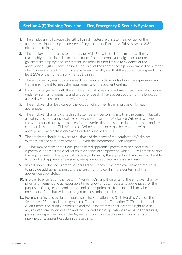### Section 4 (F) Training Provision — Fire, Emergency & Security Systems

- **1.** The employer shall co-operate with JTL in all matters relating to the provision of the apprenticeship including the delivery of any necessary Functional Skills as well as 20% off-the-job training.
- **2.** The employer undertakes to promptly provide JTL with such information as it may reasonably require in order to obtain funds from the employer's digital account or government/employer co-investment, including but not limited to evidence of the apprentice's eligibility for funding at the start of the apprenticeship programme, the number of employees where this is on average fewer than 49; and that the apprentice is spending at least 20% of their time on off-the-job training.
- **3.** The employer agrees to provide each apprentice with periods of on-site experience and training sufficient to meet the requirements of the apprenticeship.
- **4.** By prior arrangement with the employer, and at a reasonable time, monitoring will continue under existing arrangements and an apprentice shall have access to staff of the Education and Skills Funding Agency and vice versa.
- **5.** The employer shall be aware of the location of planned training provision for each apprentice.
- **6.** The employer shall allow a technically competent person from within the company (usually a heating and ventilating qualified supervisor known as a Workplace Witness) to check the work carried out by the apprentice and verify that it has been done to the appropriate commercial standard. This Workplace Witness testimony shall be recorded within the appropriate Candidate Workplace Portfolio supplied by JTL.
- **7.** The employer should be aware at all times of the name of the nominated Workplace Witness(es) and agrees to provide JTL with this information upon request.
- **8.** JTL has moved from a traditional paper-based apprentice portfolio to an e-portfolio. An e-portfolio is an electronic collection of evidence of competence, which JTL will assess against the requirements of the qualification being followed by the apprentice. Employers will be able to log in, track apprentices' progress, see apprentice activity and assessor visits.
- **9.** In addition to the requirement of paragraph 6 above, the employer may be required to provide additional expert witness testimony to confirm the contents of the apprentice's portfolio.
- **10.** In order to ensure compliance with Awarding Organisation criteria, the employer shall, by prior arrangement and at reasonable times, allow JTL staff access to apprentices for the purposes of progression and assessment of competent performance. This may be either on-site or off-site but will be arranged to cause minimum disruption.
- **11.** For monitoring and evaluation purposes, the Education and Skills Funding Agency, the Secretary of State and their agents, the Department for Education (DfE), the National Audit Office, the Audit Commission and the Inspectorates shall have the right to visit any relevant employer location and to view and assess operations relating to the training provision as specified under the Agreement, and to inspect relevant documents and interview JTL apprentices during these visits.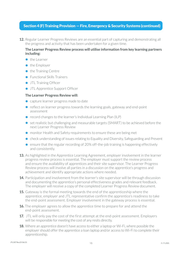### Section 4 (F) Training Provision — Fire, Emergency & Security Systems (continued)

**12.** Regular Learner Progress Reviews are an essential part of capturing and demonstrating all the progress and activity that has been undertaken for a given time.

#### **The Learner Progress Review process will utilise information from key learning partners including:**

- **•** the Learner
- **•** the Employer
- **•** the Training Centre
- **•** Functional Skills Trainers
- **•** JTL Training Officer
- **•** JTL Apprentice Support Officer

#### **The Learner Progress Review will:**

- **•** capture learner progress made to date
- **•** reflect on learner progress towards the learning goals, gateway and end-point assessment
- **•** record changes to the learner's Individual Learning Plan (ILP)
- **•** set realistic but challenging and measurable targets (SMART) to be achieved before the next Learner Progress Review
- **•** monitor Health and Safety requirements to ensure these are being met
- **•** check understanding of issues relating to Equality and Diversity, Safeguarding and Prevent
- ensure that the regular recording of 20% off-the-job training is happening effectively and consistently.
- **13.** As highlighted in the Apprentice Learning Agreement, employer involvement in the learner progress review process is essential. The employer must support the review process and ensure the availability of apprentices and their site supervisor. The Learner Progress Review process will involve all parties in a discussion on the apprentice's progress and achievement and identify appropriate actions where needed.
- **14.** Participation and involvement from the learner's site supervisor will be through discussion and documenting the apprentice's personal effectiveness grades and relevant feedback. The employer will receive a copy of the completed Learner Progress Review document.
- **15.** Gateway is the formal meeting towards the end of the apprenticeship where the apprentice, employer and JTL representative confirm the apprentice's readiness to take the end-point assessment. Employer involvement in the gateway process is essential.
- **16.** The employer agrees to allow the apprentice time to prepare for and attend the end-point assessment.
- **17.** JTL will only pay the cost of the first attempt at the end-point assessment. Employers will be responsible for meeting the cost of any resits directly.
- **18.** Where an apprentice doesn't have access to either a laptop or Wi-Fi, where possible the employer should offer the apprentice a loan laptop and/or access to Wi-Fi to complete their apprenticeship.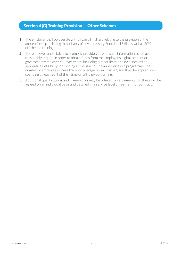### Section 4 (G) Training Provision — Other Schemes

- **1.** The employer shall co-operate with JTL in all matters relating to the provision of the apprenticeship including the delivery of any necessary Functional Skills as well as 20% off-the-job training.
- **2.** The employer undertakes to promptly provide JTL with such information as it may reasonably require in order to obtain funds from the employer's digital account or government/employer co-investment, including but not limited to evidence of the apprentice's eligibility for funding at the start of the apprenticeship programme, the number of employees where this is on average fewer than 49; and that the apprentice is spending at least 20% of their time on off-the-job training.
- **3.** Additional qualifications and frameworks may be offered; arrangements for these will be agreed on an individual basis and detailed in a service level agreement for contract.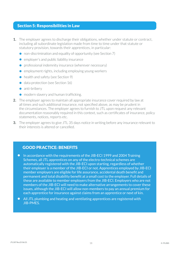### Section 5: Responsibilities in Law

- **1.** The employer agrees to discharge their obligations, whether under statute or contract, including all subordinate legislation made from time to time under that statute or statutory provision, towards their apprentices, in particular:
	- non-discrimination and equality of opportunity (see Section 7)
	- **•** employer's and public liability insurance
	- **•** professional indemnity insurance (wherever necessary)
	- **•** employment rights, including employing young workers
	- health and safety (see Section 9)
	- data protection (see Section 16)
	- anti-bribery
	- modern slavery and human trafficking.
- **2.** The employer agrees to maintain all appropriate insurance cover required by law at all times and such additional insurance, not specified above, as may be prudent in the circumstances. The employer agrees to furnish to JTL upon request any relevant documentation reasonably required in this context, such as certificates of insurance, policy statements, notices, reports etc.
- **3.** The employer agrees to give JTL 35 days notice in writing before any insurance relevant to their interests is altered or cancelled.

### GOOD PRACTICE: BENEFITS

- **•** In accordance with the requirements of the JIB-ECI 1999 and 2004 Training Schemes, all JTL apprentices on any of the electro-technical schemes are automatically registered with the JIB-ECI upon starting, regardless of whether their employer is a member of the JIB-ECI or not. Apprentices employed by JIB-ECI member employers are eligible for life assurance, accidental death benefit and permanent and total disability benefit at a small cost to the employer. Full details of these are available to member employers from the JIB-ECI. Employers who are not members of the JIB-ECI will need to make alternative arrangements to cover these issues, although the JIB-ECI will allow non-members to pay an annual premium for each apprentice for insurance against claims from an apprentice or next of kin.
- All JTL plumbing and heating and ventilating apprentices are registered with JIB-PMES.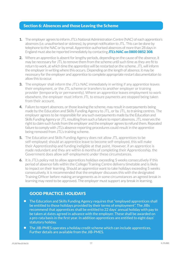### Section 6: Absences and those Leaving the Scheme

- **1.** The employer agrees to inform JTL's National Administration Centre (NAC) of each apprentice's absences (i.e. unauthorised or sickness), by prompt notification to JTL. This can be done by telephone to the NAC or by email. Apprentice-authorised absences of more than 28 days in England must also be reported immediately by contacting **JTL's NAC on 0800 0852 308**.
- **2.** Where an apprentice is absent for lengthy periods, depending on the cause of the absence, it may be necessary for JTL to remove them from the scheme until such time as they are fit to return to work, at which time the apprentice will be restarted on the scheme. JTL will inform the employer in writing where this occurs. Depending on the length of absence, it may be necessary for the employer and apprentice to complete appropriate restart documentation to allow this to occur.
- **3.** The employer shall inform the JTL's NAC immediately in writing if any apprentice leaves their employment, or the JTL scheme or transfers to another employer or training provider (temporarily or permanently). Where an apprentice leaves employment to work elsewhere, the employer must inform JTL to ensure payments are stopped being taken from their account.
- **4.** Failure to report absences, or those leaving the scheme, may result in overpayments being made by the Education and Skills Funding Agency to JTL, or by JTL, to training centres. The employer agrees to be responsible for any such overpayments made by the Education and Skills Funding Agency or JTL resulting from such a failure to report absences. JTL reserves the right to claim such funds from the employer and the employer agrees to refund them. Repeated failure to comply with JTL's absence reporting procedures could result in the apprentice being removed from JTL's training scheme.
- **5.** The Education and Skills Funding Agency does not allow JTL apprentices to be self-employed; should an apprentice leave to become self-employed, this will make their Apprenticeship and funding ineligible at that point. However, if an apprentice is made redundant and they are within 6 months of completing their Apprenticeship, the Government does allow self-employment under these circumstances.
- **6.** It is JTL's policy not to allow apprentices holidays exceeding 5 weeks consecutively if this period of absence falls within the College/Training Centre delivery timetable and is likely to impact on their learning. Should an apprentice want to take holidays exceeding 5 weeks consecutively, it is recommended that the employer discusses this with the designated Training Officer before making arrangements as in some circumstances an agreed break in learning may need to be approved. The employer must support any break in learning.

### GOOD PRACTICE: HOLIDAYS

- The Education and Skills Funding Agency requires that "employed apprentices shall be entitled to those holidays provided by their terms of employment". The JIBs recommend that apprentices shall be entitled to 22 days' annual holiday with pay to be taken at dates agreed in advance with the employer. These shall be awarded on a pro-rata basis in the first year. In addition apprentices are entitled to eight days' statutory holiday.
- The JIB-PMES operates a holiday credit scheme which can include apprentices. Further details are available from the JIB-PMES.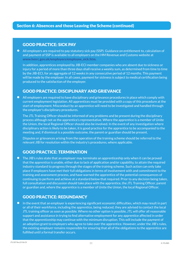### GOOD PRACTICE: SICK PAY

**•** All employers are required to pay statutory sick pay (SSP). Guidance on entitlement to, calculation of and payment of SSP is available to all employers on the HM Revenue and Customs website at www.hmrc.gov.uk/employers/employee\_sick.htm.

In addition, apprentices employed by JIB-ECI member companies who are absent due to sickness or injury for a period of more than three days shall receive a weekly sum, as determined from time to time by the JIB-ECI, for an aggregate of 12 weeks in any consecutive period of 12 months. This payment will be made by the employer. In all cases, payment for sickness is subject to medical certification being produced to the satisfaction of the employer.

### GOOD PRACTICE: DISCIPLINARY AND GRIEVANCE

**•** All employers are required to have disciplinary and grievance procedures in place which comply with current employment legislation. All apprentices must be provided with a copy of this procedure at the start of employment. Misconduct by an apprentice will need to be investigated and handled through the employer's disciplinary procedures.

The JTL Training Officer should be informed of any problems and be present during the disciplinary process although not as the apprentice's representative. Where the apprentice is a member of Unite the Union, the local Regional Officer should also be involved. In the event of any investigation where disciplinary action is likely to be taken, it is good practice for the apprentice to be accompanied to the meeting and, if dismissal is a possible outcome, the parent or guardian should be present.

Disputes or grievances arising from the operation of the training scheme should be referred to the relevant JIB for resolution within the industry's procedures, where applicable.

### GOOD PRACTICE: TERMINATION

**•** The JIB's rules state that an employer may terminate an apprenticeship only when it can be proved that the apprentice is unable, either due to lack of application and/or capability, to attain the required industry standard to progress through the stages of the training scheme. Such action can only take place if employers have met their full obligations in terms of involvement with and commitment to the training and assessment process, and have warned the apprentice of the potential consequences of continuing to perform and achieve at a standard below that required. Prior to any decision being taken, full consultation and discussion should take place with the apprentice, the JTL Training Officer, parent or guardian and, where the apprentice is a member of Unite the Union, the local Regional Officer.

### GOOD PRACTICE: REDUNDANCY

**•** In the event that an employer is experiencing significant economic difficulties, which may result in part or all of their workforce, including the apprentice, being reduced, they are advised to contact the local JTL training officer as soon as possible. Where no other option is possible, JTL will offer all reasonable support and assistance in trying to find alternative employment for any apprentice affected in order that the apprenticeship may continue with the minimum disruption. This will include the payment of an adoption grant to employers who agree to take over the apprentice. However, under the JIB's rules, the existing employer remains responsible for ensuring that all of the obligations to the apprentice are fulfilled until a formal transfer occurs.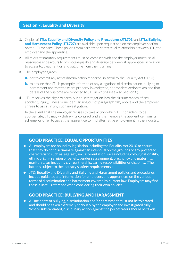### Section 7: Equality and Diversity

- **1.** Copies of JTL's Equality and Diversity Policy and Procedures (JTL701) and JTL's Bullying and Harassment Policy (JTL727) are available upon request and on the employer section on the JTL website. These policies form part of the contractual relationship between JTL, the employer and the apprentice.
- **2.** All relevant statutory requirements must be complied with and the employer must use all reasonable endeavours to promote equality and diversity between all apprentices in relation to access to, treatment on and outcome from their training.
- **3.** The employer agrees:
	- **a.** not to commit any act of discrimination rendered unlawful by the Equality Act (2010)
	- **b.** to ensure that JTL is promptly informed of any allegations of discrimination, bullying or harassment and that these are properly investigated, appropriate action taken and that details of the outcome are reported to JTL in writing (see also Section 8).
- **4.** JTL reserves the right to carry out an investigation into the circumstances of any accident, injury, illness or incident arising out of paragraph 3(b) above and the employer agrees to assist in any such investigation.

In the event that the employer refuses to take action which JTL considers to be appropriate, JTL may withdraw its contract and either remove the apprentice from its scheme, or offer to assist the apprentice to find alternative employment in the industry.

### GOOD PRACTICE: EQUAL OPPORTUNITIES

- All employers are bound by legislation including the Equality Act 2010 to ensure that they do not discriminate against an individual on the grounds of any protected characteristic such as: age, sex, sexual orientation, race (including colour, nationality, ethnic origin), religion or beliefs, gender reassignment, pregnancy and maternity, marital status including civil partnership, caring responsibilities or disability. (The latter is subject to the industry's safety requirements.)
- JTL's Equality and Diversity and Bullying and Harassment policies and procedures include guidance and information for employers and apprentices on the various forms of discrimination and harassment covered by current law. Employers may find these a useful reference when considering their own policies.

### GOOD PRACTICE: BULLYING AND HARASSMENT

**•** All Incidents of bullying, discrimination and/or harassment must not be tolerated and should be taken extremely seriously by the employer and investigated fully. Where substantiated, disciplinary action against the perpetrators should be taken.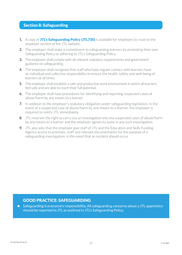### Section 8: Safeguarding

- **1.** A copy of **JTL's Safeguarding Policy (JTL730)** is available for employers to read on the employer section of the JTL website.
- **2.** The employer shall make a commitment to safeguarding learners by promoting their own Safeguarding Policy or adhering to JTL's Safeguarding Policy.
- **3.** The employer shall comply with all relevant statutory requirements and government guidance on safeguarding.
- **4.** The employer shall recognise that staff who have regular contact with learners have an individual and collective responsibility to ensure the health, safety and well-being of learners at all times.
- **5.** The employer shall establish a safe and productive work environment in which all learners feel safe and are able to reach their full potential.
- **6.** The employer shall have procedures for identifying and reporting suspected cases of abuse/harm by any means to a learner.
- **7.** In addition to the employer's statutory obligation under safeguarding legislation, in the event of a suspected case of abuse/harm by any means to a learner, the employer is required to notify JTL immediately.
- **8.** JTL reserves the right to carry out an investigation into any suspected cases of abuse/harm by any means to a learner and the employer agrees to assist in any such investigation.
- **9.** JTL also asks that the employer give staff of JTL and the Education and Skills Funding Agency access to premises, staff and relevant documentation for the purpose of a safeguarding investigation, in the event that an incident should occur.

### GOOD PRACTICE: SAFEGUARDING

**•** Safeguarding is everyone's responsibility. All safeguarding concerns about a JTL apprentice should be reported to JTL as outlined in JTL's Safeguarding Policy.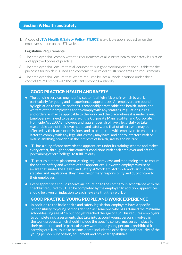### Section 9: Health and Safety

1. A copy of JTL's Health & Safety Policy (JTL803) is available upon request or on the employer section on the JTL website.

#### **Legislative Requirements**

- **2.** The employer shall comply with the requirements of all current health and safety legislation and approved codes of practice.
- **3.** The employer shall ensure that all equipment is in good working order and suitable for the purposes for which it is used and conforms to all relevant UK standards and requirements.
- **4.** The employer shall ensure that, where required by law, all work locations under their control are registered with the relevant enforcing authority.

### GOOD PRACTICE: HEALTH AND SAFETY

- The building services engineering sector is a high-risk one in which to work, particularly for young and inexperienced apprentices. All employers are bound by legislation to ensure, so far as is reasonably practicable, the health, safety and welfare of their employees and to comply with any statutes, regulations, rules and orders as may be applicable to the work and the place where it is undertaken. Employers will need to be aware of the Corporate Manslaughter and Corporate Homicide Act 2007. Employees and apprentices also have a legal duty to take reasonable care of their own health and safety, and that of others who may be affected by their acts or omissions, and to co-operate with employers to enable the latter to comply with any legal duties they may have, and not to interfere with or misuse anything provided in the interests of health, safety and welfare.
- JTL has a duty of care towards the apprentices under its training scheme and makes every effort, through specific contract conditions with each employer and off-thejob training centre/college, to fulfil its duty.
- JTL carries out pre-placement vetting, regular reviews and monitoring etc. to ensure the health, safety and welfare of the apprentices. However, employers must be aware that, under the Health and Safety at Work etc. Act 1974, and various other statutes and regulations, they have the primary responsibility and duty of care to their employees.
- Every apprentice should receive an induction to the company in accordance with the checklist required by JTL to be completed by the employer. In addition, apprentices should be given an induction to each new site that they work on.

### GOOD PRACTICE: YOUNG PEOPLE AND WORK EXPERIENCE

• In addition to the basic health and safety legislation, employers have a specific responsibility to young persons defined as "someone who has attained the minimum school-leaving age of 16 but not yet reached the age of 18". This requires employers to complete risk assessments that take into account young persons involved in the work process, which should include the specific control measures in place for their protection and, in particular, any work that a young person is prohibited from carrying out. Key issues to be considered include the experience and maturity of the young person, supervision, equipment and physical capabilities.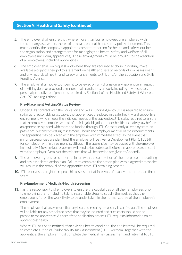- **5.** The employer shall ensure that, where more than four employees are employed within the company as a whole, there exists a written health and safety policy document. This must identify the company's appointed competent person for health and safety, outline the organisation and arrangements for managing the health, safety and welfare of all employees (including apprentices). These arrangements must be brought to the attention of all employees, including apprentices.
- **6.** The employer shall, on request and where they are required to do so in writing, make available a copy of their policy statement on health and safety, records of risk assessment and any records of health and safety arrangements to JTL and/or the Education and Skills Funding Agency.
- **7.** The employer shall not levy, or permit to be levied on, any charge on any apprentice in respect of anything done or provided to ensure health and safety at work, including any necessary personal protective equipment, as required by Section 9 of the Health and Safety at Work etc. Act 1974 and regulations.

#### **Pre-Placement Vetting/Status Review**

- **8.** Under JTL's contract with the Education and Skills Funding Agency, JTL is required to ensure, so far as is reasonably practicable, that apprentices are placed in a safe, healthy and supportive environment, which meets the individual needs of the apprentice. JTL is also required to ensure that the employer complies with all of their legal obligations under health and safety law before an apprentice is placed with them and funded through JTL. Consequently all employers must pass a pre-placement vetting assessment. Should the employer meet all of their requirements, the apprentice may be placed with the employer with immediate effect. In the event that minor discrepancies are identified, the employer will be given a Development Plan (JTL314) for completion within three months, although the apprentice may be placed with the employer immediately. More serious problems will need to be addressed before the apprentice can start with the employer. Details of the evidence that will be needed are given at Appendix 1.
- **9.** The employer agrees to co-operate in full with the completion of the pre-placement vetting and any associated action plan. Failure to complete the action plan within agreed timescales will result in the removal of the apprentice from JTL's training scheme.
- **10.** JTL reserves the right to repeat this assessment at intervals of usually not more than three years.

#### **Pre-Employment Medicals/Health Screening**

**11.** It is the responsibility of employers to ensure the capabilities of all their employees prior to employing them, including taking reasonable steps to satisfy themselves that the employee is fit for the work likely to be undertaken in the normal course of the employee's employment.

The employer shall also ensure that any health screening necessary is carried out. The employer will be liable for any associated costs that may be incurred and such costs should not be passed to the apprentice. As part of the application process JTL requests information on its apprentices' health.

Where JTL has been notified of an existing health condition, the applicant will be required to complete a Medical/Vulnerability Risk Assessment (JTL882) form. Together with the apprentice, the employer must complete the medical risk assessment and return it to JTL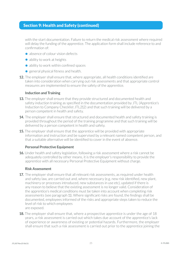with the start documentation. Failure to return the medical risk assessment where required will delay the funding of the apprentice. The application form shall include reference to and confirmation of:

- absence of colour vision defects
- ability to work at heights
- ability to work within confined spaces
- **•** general physical fitness and health.
- **12.** The employer shall ensure that, where appropriate, all health conditions identified are taken into consideration when carrying out risk assessments and that appropriate control measures are implemented to ensure the safety of the apprentice.

#### **Induction and Training**

- **13.** The employer shall ensure that they provide structured and documented health and safety induction training as specified in the documentation provided by JTL (Apprentice's Induction to Company Checklist JTL212) and that such training will be delivered by a person competent in health and safety.
- **14.** The employer shall ensure that structured and documented health and safety training is provided throughout the period of the training programme and that such training will be delivered by a person competent in health and safety.
- **15.** The employer shall ensure that the apprentice will be provided with appropriate information and instruction and be supervised by a relevant named competent person, and that a suitable alternative will be identified to cover in the event of absence.

#### **Personal Protective Equipment**

**16.** Under health and safety legislation, following a risk assessment where a risk cannot be adequately controlled by other means, it is the employer's responsibility to provide the apprentice with all necessary Personal Protective Equipment without charge.

#### **Risk Assessment**

- **17.** The employer shall ensure that all relevant risk assessments, as required under health and safety law, are carried out and, where necessary (e.g. new risk identified, new plant, machinery or processes introduced, new substances in use etc), updated if there is any reason to believe that the existing assessment is no longer valid. Consideration of the apprentice's medical conditions must be taken into account when completing risk assessments (see paragraph 11). Where significant risks are found, the findings shall be documented, employees informed of the risks and appropriate steps taken to reduce the level of risk to which employees are exposed.
- **18.** The employer shall ensure that, where a prospective apprentice is under the age of 18 years, a risk assessment is carried out which takes due account of the apprentice's lack of experience or awareness of existing or potential hazards. Furthermore, the employer shall ensure that such a risk assessment is carried out prior to the apprentice joining the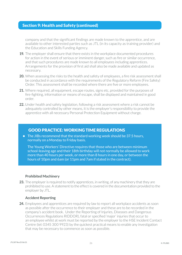company and that the significant findings are made known to the apprentice, and are available to other interested parties such as JTL (in its capacity as training provider) and the Education and Skills Funding Agency.

- **19.** The employer shall ensure that there exists in the workplace documented procedures for action in the event of serious or imminent danger, such as fire or similar occurrence, and that such procedures are made known to all employees including apprentices. Arrangements for the provision of first aid shall also be made available and updated as necessary.
- **20.** When assessing the risks to the health and safety of employees, a fire risk assessment shall be conducted in accordance with the requirements of the Regulatory Reform (Fire Safety) Order. This assessment shall be recorded where there are five or more employees.
- **21.** Where required, all equipment, escape routes, signs etc, provided for the purposes of fire-fighting, information or means of escape, shall be displayed and maintained in good order.
- **22.** Under health and safety legislation, following a risk assessment where a risk cannot be adequately controlled by other means, it is the employer's responsibility to provide the apprentice with all necessary Personal Protection Equipment without charge.

### GOOD PRACTICE: WORKING TIME REGULATIONS

• The JIBs recommend that the standard working week should be 37.5 hours, normally on a Monday to Friday basis.

The Young Workers' Directive requires that those who are between minimum school-leaving age and their 18th birthday will not normally be allowed to work more than 40 hours per week, or more than 8 hours in one day, or between the hours of 10pm and 6am (or 11pm and 7am if stated in the contract).

#### **Prohibited Machinery**

**23.** The employer is required to notify apprentices, in writing, of any machinery that they are prohibited to use. A statement to the effect is covered in the documentation provided to the employer by JTL.

#### **Accident Reporting**

**24.** Employees and apprentices are required by law to report all workplace accidents as soon as possible after the occurrence to their employer and these are to be recorded in the company's accident book. Under the Reporting of Injuries, Diseases and Dangerous Occurrences Regulations RIDDOR), fatal or specified 'major' injuries that occur to an employee whilst at work must be reported by the employer to the HSE Incident Contact Centre (tel: 0345 300 9923) by the quickest practical means to enable any investigation that may be necessary to commence as soon as possible.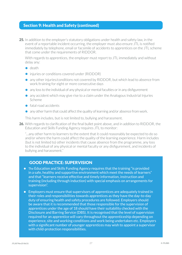**25.** In addition to the employer's statutory obligations under health and safety law, in the event of a reportable incident occurring, the employer must also ensure JTL is notified immediately by telephone, email or facsimile of accidents to apprentices on the JTL scheme that come under the requirements of RIDDOR.

With regards to apprentices, the employer must report to JTL immediately and without delay any:

- **•** death
- **•** injuries or conditions covered under (RIDDOR)
- **•** any other injuries/conditions not covered by RIDDOR, but which lead to absence from work/training for eight or more consecutive days
- **•** any loss to the individual of any physical or mental faculties or in any disfigurement
- **•** any accident which may give rise to a claim under the Analogous Industrial Injuries Scheme
- **•** fatal road accidents
- **•** any other harm that could affect the quality of learning and/or absence from work.

This harm includes, but is not limited to, bullying and harassment.

**26.** With regards to clarification of the final bullet point above, and in addition to RIDDOR, the Education and Skills Funding Agency requires JTL to monitor:

"…any other harm to learners to the extent that it could reasonably be expected to do so and/or where the harm could affect the quality of the learning experience. Harm includes (but is not limited to) other incidents that cause absence from the programme, any loss to the individual of any physical or mental faculty or any disfigurement, and incidents of bullying and harassment."

### GOOD PRACTICE: SUPERVISION

- The Education and Skills Funding Agency requires that the training "is provided in a safe, healthy and supportive environment which meet the needs of learners" and that "learners receive effective and timely information, instruction and training (including through induction) with special emphasis on arrangements for supervision".
- Employers must ensure that supervisors of apprentices are adequately trained in their roles and responsibilities towards apprentices as they have the day-to-day duty of ensuring health and safety procedures are followed. Employers should be aware that it is recommended that those responsible for the supervision of apprentices under the age of 18 should have their suitability checked with the Disclosure and Barring Service (DBS). It is recognised that the level of supervision required for an apprentice will vary throughout the apprenticeship depending on experience, site and working conditions and work being undertaken etc. Employers with a significant number of younger apprentices may wish to appoint a supervisor with child-protection responsibilities.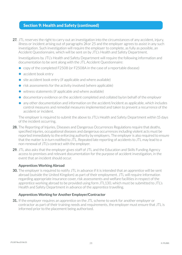27. JTL reserves the right to carry out an investigation into the circumstances of any accident, injury, illness or incident arising out of paragraphs 24 or 25 and the employer agrees to assist in any such investigation. Such investigation will require the employer to complete, as fully as possible, an Accident Questionnaire, which will be sent on by JTL's Health and Safety Department.

Investigations by JTL's Health and Safety Department will require the following information and documentation to be sent along with the JTL Accident Questionnaire:

- **•** copy of the completed F2508 (or F2508A in the case of a reportable disease)
- accident book entry
- site accident book entry (if applicable and where available)
- **•** risk assessments for the activity involved (where applicable)
- **•** witness statements (if applicable and where available)
- **•** documentary evidence on the accident completed and collated by/on behalf of the employer
- any other documentation and information on the accident/incident as applicable, which includes control measures and remedial measures implemented and taken to prevent a recurrence of the accident or incident.

The employer is required to submit the above to JTL's Health and Safety Department within 15 days of the incident occurring.

- 28. The Reporting of Injuries, Diseases and Dangerous Occurrences Regulations require that deaths. specified injuries, occupational diseases and dangerous occurrences including violent acts must be reported immediately to the enforcing authority by employers. The employer is also required to ensure that the matter is in turn notified to JTL. Repeated late reporting of accidents to JTL may lead to a non-renewal of JTL's contract with the employer.
- **29.** JTL also asks that the employer gives staff of JTL and the Education and Skills Funding Agency access to premises and relevant documentation for the purpose of accident investigation, in the event that an incident should occur.

#### **Apprentices Working Abroad**

**30.** The employer is required to notify JTL in advance if it is intended that an apprentice will be sent abroad (outside the United Kingdom) as part of their employment. JTL will require information regarding appropriate insurance cover, risk assessments and welfare facilities in respect of the apprentice working abroad to be provided using form JTL130, which must be submitted to JTL's Health and Safety Department in advance of the apprentice travelling.

#### **Apprentices Working for Another Employer/Contractor**

**31.** If the employer requires an apprentice on the JTL scheme to work for another employer or contractor as part of their training needs and requirements, the employer must ensure that JTL is informed prior to the placement being authorised.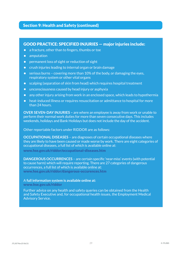### GOOD PRACTICE: SPECIFIED INJURIES — major injuries include:

- a fracture, other than to fingers, thumbs or toe
- amputation
- permanent loss of sight or reduction of sight
- crush injuries leading to internal organ or brain damage
- serious burns covering more than 10% of the body, or damaging the eyes, respiratory system or other vital organs
- scalping (separation of skin from head) which requires hospital treatment
- unconsciousness caused by head injury or asphyxia
- any other injury arising from work in an enclosed space, which leads to hypothermia
- heat-induced illness or requires resuscitation or admittance to hospital for more than 24 hours.

**OVER SEVEN-DAY INJURIES –** are where an employee is away from work or unable to perform their normal work duties for more than seven consecutive days. This includes weekends, holidays and Bank Holidays but does not include the day of the accident.

#### Other reportable factors under RIDDOR are as follows:

**OCCUPATIONAL DISEASES** – are diagnoses of certain occupational diseases where they are likely to have been caused or made worse by work. There are eight categories of occupational diseases, a full list of which is available online at: www.hse.gov.uk/riddor/occupational-diseases.htm

**DANGEROUS OCCURRENCES** – are certain specific 'near-miss' events (with potential to cause harm) which will require reporting. There are 27 categories of dangerous occurrences, a full list of which is available online at: www.hse.gov.uk/riddor/dangerous-occurences.htm

#### A **full information system is available online at:**

www.hse.gov.uk/riddor

Further advice on any health and safety queries can be obtained from the Health and Safety Executive and, for occupational health issues, the Employment Medical Advisory Service.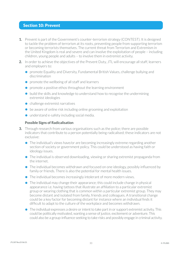### Section 10: Prevent

- **1.** Prevent is part of the Government's counter-terrorism strategy (CONTEST). It is designed to tackle the problem of terrorism at its roots, preventing people from supporting terrorism or becoming terrorists themselves. The current threat from Terrorism and Extremism in the United Kingdom is real and severe and can involve the exploitation of people – including children, young people and adults – to involve them in extremist activity.
- **2.** In order to achieve the objectives of the Prevent Duty, JTL will encourage all staff, learners and employers to:
	- **•** promote Equality and Diversity, Fundamental British Values, challenge bullying and discrimination
	- **•** promote the wellbeing of all staff and learners
	- **•** promote a positive ethos throughout the learning environment
	- **•** build the skills and knowledge to understand how to recognise the undermining extremist ideologies
	- **•** challenge extremist narratives
	- be aware of online risk including online grooming and exploitation
	- **•** understand e-safety including social media.

#### **Possible Signs of Radicalisation**

- **3.** Through research from various organisations such as the police; there are possible indicators that contribute to a person potentially being radicalised; these indicators are not exclusive:
	- **•** The individual's views have/or are becoming increasingly extreme regarding another section of society or government policy. This could be understood as having faith or ideology issues.
	- **•** The individual is observed downloading, viewing or sharing extremist propaganda from the internet.
	- The individual becomes withdrawn and focused on one ideology, possibly influenced by family or friends. There is also the potential for mental health issues.
	- **•** The individual becomes increasingly intolerant of more modern views.
	- **•** The individual may change their appearance; this could include change in physical appearance i.e. having tattoos that illustrate an affiliation to a particular extremist group or wearing clothing that is common within a particular extremist group. They may become distant and isolated from family, friends and colleagues. A transitional change could be a key factor for becoming distant for instance where an individual finds it difficult to adapt to the culture of the workplace and becomes withdrawn.
	- **•** The individual expresses a desire or intent to take part in or support extremist activity. This could be politically motivated, wanting a sense of justice, excitement or adventure. This could also be a group-influence seeking to take risks and possibly engage in criminal activity.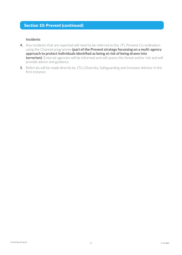# Section 10: Prevent (continued)

#### **Incidents**

- **4.** Any incidents that are reported will need to be referred to the JTL Prevent Co-ordinators using the Channel programme **(part of the Prevent strategy focussing on a multi-agency approach to protect individuals identified as being at risk of being drawn into terrorism)**. External agencies will be informed and will assess the threat and/or risk and will provide advice and guidance.
- **5.** Referrals will be made directly by JTL's Diversity, Safeguarding and Inclusion Advisor in the first instance.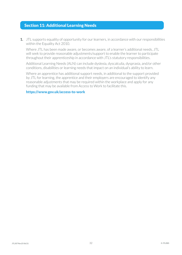### Section 11: Additional Learning Needs

**1.** JTL supports equality of opportunity for our learners, in accordance with our responsibilities within the Equality Act 2010.

Where JTL has been made aware, or becomes aware, of a learner's additional needs, JTL will seek to provide reasonable adjustments/support to enable the learner to participate throughout their apprenticeship in accordance with JTL's statutory responsibilities.

Additional Learning Needs (ALN) can include dyslexia, dyscalculia, dyspraxia, and/or other conditions, disabilities or learning needs that impact on an individual's ability to learn.

Where an apprentice has additional support needs, in additional to the support provided by JTL for learning, the apprentice and their employers are encouraged to identify any reasonable adjustments that may be required within the workplace and apply for any funding that may be available from Access to Work to facilitate this.

#### https://www.gov.uk/access-to-work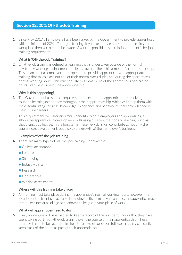### Section 12: 20% Off-the-Job Training

**1.** Since May 2017 all employers have been asked by the Government to provide apprentices with a minimum of 20% off-the-job training. If you currently employ apprentices in your workplace then you need to be aware of your responsibilities in relation to the off-the-job training requirement.

#### **What is 'Off-the-Job Training'?**

**2.** Off-the-job training is defined as learning that is undertaken outside of the normal day-to-day working environment and leads towards the achievement of an apprenticeship. This means that all employers are expected to provide apprentices with appropriate training that takes place outside of their normal work duties and during the apprentice's normal working hours. This must equate to at least 20% of the apprentice's contracted hours over the course of the apprenticeship.

#### **Why is this happening?**

**3.** The Government has set this requirement to ensure that apprentices are receiving a rounded learning experience throughout their apprenticeship, which will equip them with the essential range of skills, knowledge, experience and behaviours that they will need in their future careers.

This requirement will offer enormous benefits to both employers and apprentices, as it allows the apprentice to develop new skills using different methods of learning, such as shadowing a colleague. In the long term, these new skills will contribute to not only the apprentice's development, but also to the growth of their employer's business.

#### **Examples of off-the-job training**

- **4.** There are many types of off-the-job training. For example:
	- **•** College attendance
	- **•** Lectures
	- **•** Shadowing
	- **•** Industry visits
	- **•** Research
	- **•** Conferences
	- **•** Writing assessments.

#### **Where will this training take place?**

**5.** All training must take place during the apprentice's normal working hours; however, the location of the training may vary depending on its format. For example, the apprentice may attend lectures at a college or shadow a colleague in your place of work.

#### **What will apprentices need to do?**

**6.** Every apprentice will be expected to keep a record of the number of hours that they have spent taking part in off-the-job training over the course of their apprenticeship. These hours will need to be recorded in their Smart Assessor e-portfolio so that they can easily keep track of the hours as part of their apprenticeship.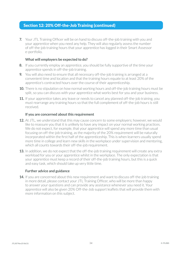### Section 12: 20% Off-the-Job Training (continued)

**7.** Your JTL Training Officer will be on hand to discuss off-the-job training with you and your apprentice when you need any help. They will also regularly assess the number of off-the-job training hours that your apprentice has logged in their Smart Assessor e-portfolio.

#### **What will employers be expected to do?**

- **8.** If you currently employ an apprentice, you should be fully supportive of the time your apprentice spends in off-the-job training.
- **9.** You will also need to ensure that all necessary off-the-job training is arranged at a convenient time and location and that the training hours equate to at least 20% of the apprentice's contracted hours over the course of their apprenticeship.
- **10.** There is no stipulation on how normal working hours and off-the-job training hours must be split, so you can discuss with your apprentice what works best for you and your business.
- **11.** If your apprentice takes any leave or needs to cancel any planned off-the-job training, you must rearrange any training hours so that the full complement of off-the-job hours is still received.

#### **If you are concerned about this requirement**

- **12.** At JTL, we understand that this may cause concern to some employers; however, we would like to reassure you that it is unlikely to have any impact on your normal working practices. We do not expect, for example, that your apprentice will spend any more time than usual focusing on off-the-job training, as the majority of the 20% requirement will be naturally incorporated within the first half of the apprenticeship. This is when learners usually spend more time in college and learn new skills in the workplace under supervision and mentoring, which all counts towards their off-the-job requirement.
- **13.** In addition, we do not expect that the off-the-job training requirement will create any extra workload for you or your apprentice whilst in the workplace. The only expectation is that your apprentice must keep a record of their off-the-job training hours, but this is a quick and easy task, which should take up very little time.

#### **Further advice and guidance**

**14.** If you are concerned about this new requirement and want to discuss off-the-job training in more detail, please contact your JTL Training Officer, who will be more than happy to answer your questions and can provide any assistance whenever you need it. Your apprentice will also be given 20% Off-the-Job support leaflets that will provide them with more information on this subject.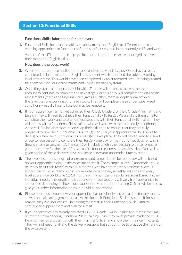### Section 13: Functional Skills

#### **Functional Skills: information for employers**

**1.** Functional Skills focus on the ability to apply maths and English to different contexts, enabling apprentices to function confidently, effectively, and independently in life and work.

As part of the JTL apprenticeship qualification, all apprentices are encouraged to develop their maths and English skills.

#### **How does the process work?**

- **2.** When your apprentice applied for an apprenticeship with JTL, they would have already completed an initial maths and English assessment which identified the subject working level at that time. This would have been completed by an automated account being created for them on bksb (our online maths and English learning system).
- **3.** Once they start their apprenticeship with JTL, they will be able to access the same account to continue to complete the next stage. For this, they will complete the diagnostic assessments (maths and English) which gives a further, more in-depth breakdown of the level they are working at for each topic. They will complete these under supervised conditions – usually face to face but may be remotely.
- **4.** If your apprentice has not yet achieved their GCSE Grade C or (new Grade 4) in maths and English, they will need to achieve their Functional Skills test(s). Please allow them time to complete their work and to attend these sessions with their Functional Skills Trainer. They will do this with a Functional Skills trainer who will work with them remotely (telephone, video call, Online classroom) to develop their skills and to ensure that they are fully prepared to take their Functional Skills test(s). Early on your apprentice will be given a test date(s) of when their Functional Skills test(s)will take place. They will be required to attend a face to face session to complete their test(s) - one day for maths and two days for English (English has 3 assessments). The day(s) will include a refresher session to better prepare your apprentice for their test(s) as we aspire for our learners to pass first time! You will be given notice of these delivery days, so please allow your apprentice time to attend.
- **5.** The level of support, length of programme and target date to be test ready will be based on your apprentice's diagnostic assessment result. For example, a level 2 apprentice could be ready to sit their test(s) within 3-4 months with half day monthly sessions, a level 1 apprentice could be ready within 6-9 months with one day monthly sessions and entry level apprentice could take 12-18 months with a number of regular sessions based on their individual needs. The length and frequency of these sessions will vary from apprentice to apprentice depending on how much support they need. Your Training Officer will be able to give you further information on your individual apprentice.
- **6.** Please inform us if you know your apprentice has previously had extra time for any exams, so we can make arrangements to allow this for their Functional Skills tests too. If for some reason, they are unsuccessful in passing their test(s), their Functional Skills Tutor will continue to support them and plan for a resit.
- **7.** If your apprentice has already achieved a GCSE Grade C/4 in English and Maths, they may be exempt from needing Functional Skills training. If so, they must provide evidence to JTL. Remind them to discuss this with their Training Officer and show them their certificate(s). They will not need to attend the delivery sessions but still continue to practice their skills on the bksb system.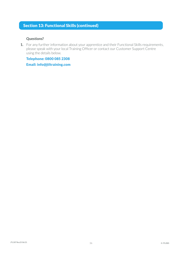## Section 13: Functional Skills (continued)

#### **Questions?**

**1.** For any further information about your apprentice and their Functional Skills requirements, please speak with your local Training Officer or contact our Customer Support Centre using the details below.

Telephone: 0800 085 2308

Email: info@jtltraining.com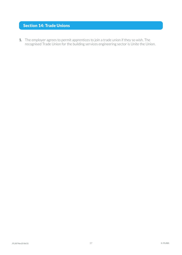# Section 14: Trade Unions

**1.** The employer agrees to permit apprentices to join a trade union if they so wish. The recognised Trade Union for the building services engineering sector is Unite the Union.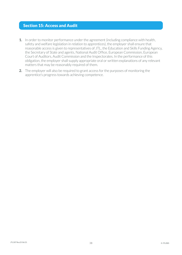### Section 15: Access and Audit

- **1.** In order to monitor performance under the agreement (including compliance with health, safety and welfare legislation in relation to apprentices), the employer shall ensure that reasonable access is given to representatives of JTL, the Education and Skills Funding Agency, the Secretary of State and agents, National Audit Office, European Commission, European Court of Auditors, Audit Commission and the Inspectorates. In the performance of this obligation, the employer shall supply appropriate oral or written explanations of any relevant matters that may be reasonably required of them.
- **2.** The employer will also be required to grant access for the purposes of monitoring the apprentice's progress towards achieving competence.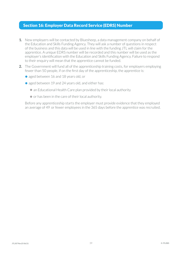### Section 16: Employer Data Record Service (EDRS) Number

- **1.** New employers will be contacted by Bluesheep, a data management company on behalf of the Education and Skills Funding Agency. They will ask a number of questions in respect of the business and this data will be used in line with the funding JTL will claim for the apprentice. A unique EDRS number will be recorded and this number will be used as the employer's identification with the Education and Skills Funding Agency. Failure to respond to their enquiry will mean that the apprentice cannot be funded.
- **2.** The Government will fund all of the apprenticeship training costs, for employers employing fewer than 50 people, if on the first day of the apprenticeship, the apprentice is:
	- aged between 16 and 18 years old, or
	- aged between 19 and 24 years old, and either has:
		- an Educational Health Care plan provided by their local authority
		- or has been in the care of their local authority.

Before any apprenticeship starts the employer must provide evidence that they employed an average of 49 or fewer employees in the 365 days before the apprentice was recruited.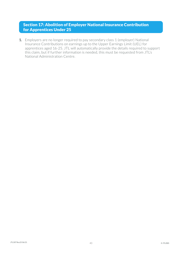### Section 17: Abolition of Employer National Insurance Contribution for Apprentices Under 25

**1.** Employers are no longer required to pay secondary class 1 (employer) National Insurance Contributions on earnings up to the Upper Earnings Limit (UEL) for apprentices aged 16-25. JTL will automatically provide the details required to support this claim, but if further information is needed, this must be requested from JTL's National Administration Centre.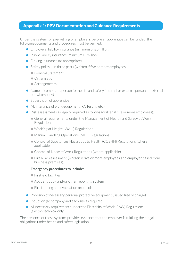### Appendix 1: PPV Documentation and Guidance Requirements

Under the system for pre-vetting of employers, before an apprentice can be funded, the following documents and procedures must be verified:

- **•** Employers' liability insurance (minimum of £5million)
- Public liability insurance (minimum £1 million)
- Driving insurance (as appropriate)
- Safety policy in three parts (written if five or more employees):
	- **•** General Statement
	- **•** Organisation
	- **•** Arrangements.
- Name of competent person for health and safety (internal or external person or external body/company)
- **•** Supervision of apprentice
- Maintenance of work equipment (PA Testing etc.)
- Risk assessments as legally required as follows (written if five or more employees):
	- **•** General requirements under the Management of Health and Safety at Work Regulations
	- **•** Working at Height (WAH) Regulations
	- **•** Manual Handling Operations (MHO) Regulations
	- **•** Control of Substances Hazardous to Health (COSHH) Regulations (where applicable)
	- **•** Control of Noise at Work Regulations (where applicable)
	- **•** Fire Risk Assessment (written if five or more employees and employer based from business premises).

#### **Emergency procedures to include:**

- **•** First-aid facilities
- **•** Accident book and/or other reporting system
- **•** Fire training and evacuation protocols.
- Provision of necessary personal protective equipment (issued free of charge)
- Induction (to company and each site as required)
- **•** All necessary requirements under the Electricity at Work (EAW) Regulations (electro-technical only).

The presence of these systems provides evidence that the employer is fulfilling their legal obligations under health and safety legislation.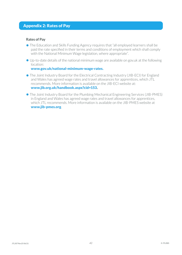# Appendix 2: Rates of Pay

#### **Rates of Pay**

- The Education and Skills Funding Agency requires that "all employed learners shall be paid the rate specified in their terms and conditions of employment which shall comply with the National Minimum Wage legislation, where appropriate".
- Up-to-date details of the national minimum wage are available on gov.uk at the following location:

#### www.gov.uk/national-minimum-wage-rates.

- The Joint Industry Board for the Electrical Contracting Industry (JIB-ECI) for England and Wales has agreed wage rates and travel allowances for apprentices, which JTL recommends. More information is available on the JIB-ECI website at: www.jib.org.uk/handbook.aspx?cid=153.
- The Joint Industry Board for the Plumbing Mechanical Engineering Services (JIB-PMES) in England and Wales has agreed wage rates and travel allowances for apprentices, which JTL recommends. More information is available on the JIB-PMES website at www.jib-pmes.org.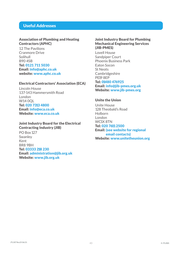### Useful Addresses

#### Association of Plumbing and Heating Contractors (APHC)

12 The Pavilions Cranmore Drive Solihull B90 4SB Tel: 0121 711 5030 Email: info@aphc.co.uk website: www.aphc.co.uk

#### Electrical Contractors' Association (ECA)

Lincoln House 137-143 Hammersmith Road London W14 0QL Tel: 020 7313 4800 Email: info@eca.co.uk Website: www.eca.co.uk

#### Joint Industry Board for the Electrical Contracting Industry (JIB)

PO Box 127 Swanley Kent BR8 9BH Tel: 03333 218 230 Email: administration@jib.org.uk Website: www.jib.org.uk

#### Joint Industry Board for Plumbing Mechanical Engineering Services (JIB-PMES)

Lovell House Sandpiper Court Phoenix Business Park Eaton Socon St Neots Cambridgeshire PE19 8EP

Tel: 01480 476925 Email: info@jib-pmes.org.uk Website: www.jib-pmes.org

#### Unite the Union

Unite House 128 Theobald's Road Holborn London WC1X 8TN Tel: 020 7611 2500 Email: (see website for regional email contacts) Website: www.unitetheunion.org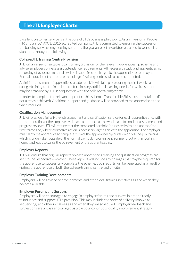# The JTL Employer Charter

Excellent customer service is at the core of JTL's business philosophy. As an Investor in People (IiP) and an ISO 9001: 2015 accredited company, JTL is committed to ensuring the success of the building services engineering sector by the guarantee of a workforce trained to world-class standards through the following:

#### **College/JTL Training Centre Provision**

JTL will arrange for suitable local training provision for the relevant apprenticeship scheme and advise employers of necessary attendance requirements. All necessary study and apprenticeship recording of evidence materials will be issued, free of charge, to the apprentice or employer. Formal induction of apprentices at colleges/training centres will also be conducted.

An initial assessment of apprentices' academic skills will take place during the first weeks at a college/training centre in order to determine any additional learning needs, for which support may be arranged by JTL in conjunction with the college/training centre.

In order to complete the relevant apprenticeship scheme, Transferable Skills must be attained (if not already achieved). Additional support and guidance will be provided to the apprentice as and when required.

#### **Qualification Management**

JTL will provide a full off-the-job assessment and certification service for each apprentice and, with the co-operation of the employer, visit each apprentice at the workplace to conduct assessment and progress reviews. JTL will ensure that the completed portfolio is assessed within an appropriate time frame and, where corrective action is necessary, agree this with the apprentice. The employer must allow the apprentice to complete 20% of the apprenticeship duration on off-the-job training which is undertaken outside of the normal day to day working environment (but within working hours) and leads towards the achievement of the apprenticeship.

#### **Employer Reports**

JTL will ensure that regular reports on each apprentice's training and qualification progress are sent to the respective employer. These reports will include any changes that may be required for the apprentice to successfully complete the scheme. Such reports will be generated as a result of visiting the apprentice at both the college/training centre and on-site.

#### **Employer Training Developments**

Employers will be advised of developments and other local training initiatives as and when they become available.

#### **Employer Forums and Surveys**

Employers will be encouraged to engage in employer forums and surveys in order directly to influence and support JTL's provision. This may include the order of delivery (known as sequencing) and other initiatives as and when they are scheduled. Employer feedback and suggestions are always encouraged as a part our continuous quality improvement strategy.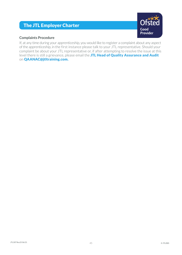# The JTL Employer Charter



#### **Complaints Procedure**

If, at any time during your apprenticeship, you would like to register a complaint about any aspect of the apprenticeship, in the first instance please talk to your JTL representative. Should your complaint be about your JTL representative or, if after attempting to resolve the issue at this level there is still a grievance, please email the JTL Head of Quality Assurance and Audit on QAANAC@jtltraining.com.